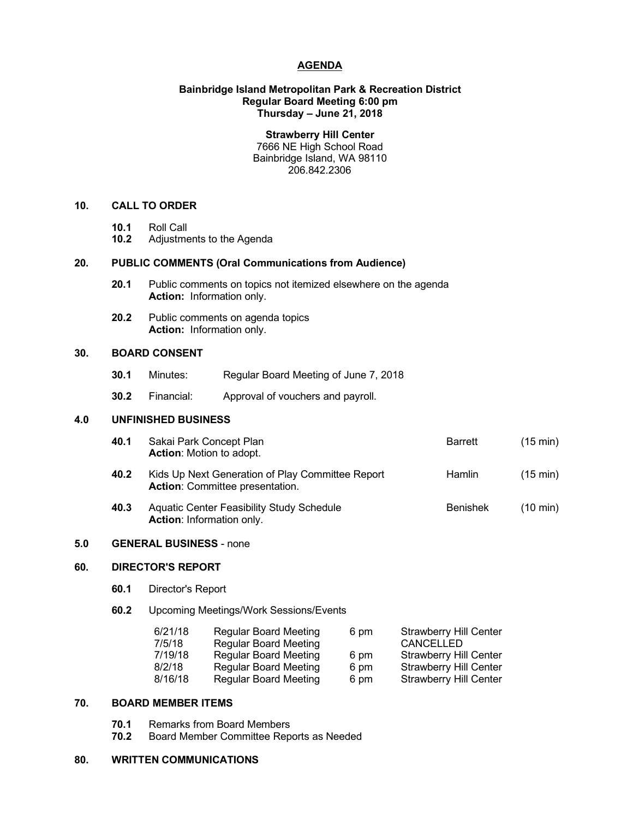# **AGENDA**

# **Bainbridge Island Metropolitan Park & Recreation District Regular Board Meeting 6:00 pm Thursday – June 21, 2018**

**Strawberry Hill Center**

7666 NE High School Road Bainbridge Island, WA 98110 206.842.2306

## **10. CALL TO ORDER**

- **10.1** Roll Call
- **10.2** Adjustments to the Agenda

# **20. PUBLIC COMMENTS (Oral Communications from Audience)**

- **20.1** Public comments on topics not itemized elsewhere on the agenda **Action:** Information only.
- **20.2** Public comments on agenda topics **Action:** Information only.

# **30. BOARD CONSENT**

- **30.1** Minutes: Regular Board Meeting of June 7, 2018
- **30.2** Financial: Approval of vouchers and payroll.

# **4.0 UNFINISHED BUSINESS**

| 40.1 | Sakai Park Concept Plan<br><b>Action:</b> Motion to adopt.                                 | Barrett         | $(15 \text{ min})$ |
|------|--------------------------------------------------------------------------------------------|-----------------|--------------------|
| 40.2 | Kids Up Next Generation of Play Committee Report<br><b>Action: Committee presentation.</b> | Hamlin          | $(15 \text{ min})$ |
| 40.3 | Aquatic Center Feasibility Study Schedule<br><b>Action: Information only.</b>              | <b>Benishek</b> | $(10 \text{ min})$ |

#### **5.0 GENERAL BUSINESS** - none

# **60. DIRECTOR'S REPORT**

- **60.1** Director's Report
- **60.2** Upcoming Meetings/Work Sessions/Events

| 6/21/18 | <b>Regular Board Meeting</b> | 6 pm | <b>Strawberry Hill Center</b> |
|---------|------------------------------|------|-------------------------------|
| 7/5/18  | <b>Regular Board Meeting</b> |      | CANCELLED                     |
| 7/19/18 | <b>Regular Board Meeting</b> | 6 pm | <b>Strawberry Hill Center</b> |
| 8/2/18  | <b>Regular Board Meeting</b> | 6 pm | <b>Strawberry Hill Center</b> |
| 8/16/18 | <b>Regular Board Meeting</b> | 6 pm | <b>Strawberry Hill Center</b> |

# **70. BOARD MEMBER ITEMS**

- **70.1** Remarks from Board Members
- **70.2** Board Member Committee Reports as Needed

#### **80. WRITTEN COMMUNICATIONS**